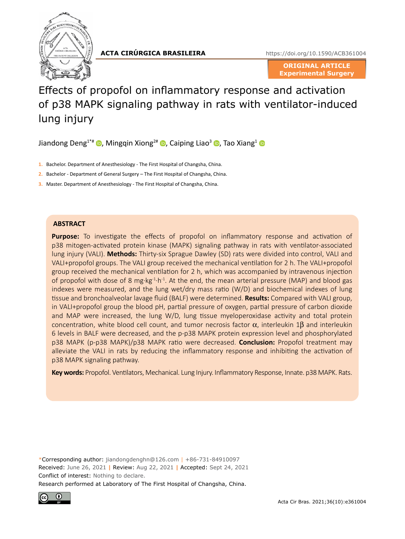

**ACTA CIRÚRGICA BRASILEIRA**

<https://doi.org/10.1590/ACB361004>

**ORIGINAL ARTICLE Experimental Surgery**

# Effects of propofol on inflammatory response and activation of p38 MAPK signaling pathway in rats with ventilator-induced lung injury

Jiandong Deng<sup>1\*#</sup>  $\bullet$ [,](https://orcid.org/0000-0003-3312-3878) Mingqin Xiong<sup>2#</sup>  $\bullet$ , Caiping Liao<sup>3</sup>  $\bullet$ , Tao Xiang<sup>1</sup>  $\bullet$ 

- **1.** Bachelor. Department of Anesthesiology The First Hospital of Changsha, China.
- **2.** Bachelor Department of General Surgery The First Hospital of Changsha, China.
- **3.** Master. Department of Anesthesiology The First Hospital of Changsha, China.

#### **ABSTRACT**

**Purpose:** To investigate the effects of propofol on inflammatory response and activation of p38 mitogen-activated protein kinase (MAPK) signaling pathway in rats with ventilator-associated lung injury (VALI). **Methods:** Thirty-six Sprague Dawley (SD) rats were divided into control, VALI and VALI+propofol groups. The VALI group received the mechanical ventilation for 2 h. The VALI+propofol group received the mechanical ventilation for 2 h, which was accompanied by intravenous injection of propofol with dose of 8 mg·kg<sup>-1</sup>·h<sup>-1</sup>. At the end, the mean arterial pressure (MAP) and blood gas indexes were measured, and the lung wet/dry mass ratio (W/D) and biochemical indexes of lung tissue and bronchoalveolar lavage fluid (BALF) were determined. **Results:** Compared with VALI group, in VALI+propofol group the blood pH, partial pressure of oxygen, partial pressure of carbon dioxide and MAP were increased, the lung W/D, lung tissue myeloperoxidase activity and total protein concentration, white blood cell count, and tumor necrosis factor α, interleukin 1β and interleukin 6 levels in BALF were decreased, and the p-p38 MAPK protein expression level and phosphorylated p38 MAPK (p-p38 MAPK)/p38 MAPK ratio were decreased. **Conclusion:** Propofol treatment may alleviate the VALI in rats by reducing the inflammatory response and inhibiting the activation of p38 MAPK signaling pathway.

**Key words:** Propofol. Ventilators, Mechanical. Lung Injury. Inflammatory Response, Innate. p38 MAPK. Rats.

\*Corresponding author: [jiandongdenghn@126.com](mailto:jiandongdenghn@126.com) | +86-731-84910097 Received: June 26, 2021 **|** Review: Aug 22, 2021 **|** Accepted: Sept 24, 2021 Conflict of interest: Nothing to declare. Research performed at Laboratory of The First Hospital of Changsha, China.

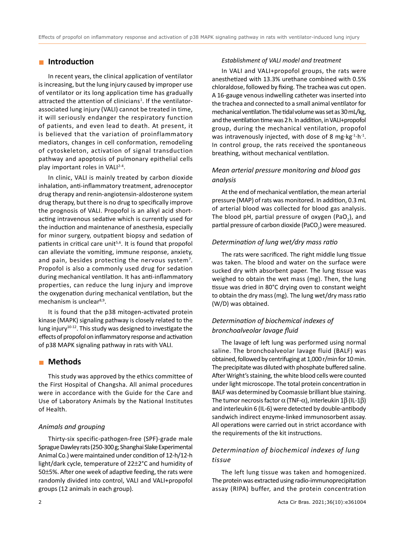# **Introduction**

In recent years, the clinical application of ventilator is increasing, but the lung injury caused by improper use of ventilator or its long application time has gradually attracted the attention of clinicians<sup>1</sup>. If the ventilatorassociated lung injury (VALI) cannot be treated in time, it will seriously endanger the respiratory function of patients, and even lead to death. At present, it is believed that the variation of proinflammatory mediators, changes in cell conformation, remodeling of cytoskeleton, activation of signal transduction pathway and apoptosis of pulmonary epithelial cells play important roles in VALI<sup>2-4</sup>.

In clinic, VALI is mainly treated by carbon dioxide inhalation, anti-inflammatory treatment, adrenoceptor drug therapy and renin-angiotensin-aldosterone system drug therapy, but there is no drug to specifically improve the prognosis of VALI. Propofol is an alkyl acid shortacting intravenous sedative which is currently used for the induction and maintenance of anesthesia, especially for minor surgery, outpatient biopsy and sedation of patients in critical care unit<sup>5,6</sup>. It is found that propofol can alleviate the vomiting, immune response, anxiety, and pain, besides protecting the nervous system<sup>7</sup>. Propofol is also a commonly used drug for sedation during mechanical ventilation. It has anti-inflammatory properties, can reduce the lung injury and improve the oxygenation during mechanical ventilation, but the mechanism is unclear<sup>8,9</sup>.

It is found that the p38 mitogen-activated protein kinase (MAPK) signaling pathway is closely related to the lung injury10-12. This study was designed to investigate the effects of propofol on inflammatory response and activation of p38 MAPK signaling pathway in rats with VALI.

## **Methods**

This study was approved by the ethics committee of the First Hospital of Changsha. All animal procedures were in accordance with the Guide for the Care and Use of Laboratory Animals by the National Institutes of Health.

#### *Animals and grouping*

Thirty-six specific-pathogen-free (SPF)-grade male Sprague Dawley rats (250-300g; Shanghai Slake Experimental Animal Co.) were maintained under condition of 12-h/12-h light/dark cycle, temperature of 22±2°C and humidity of 50±5%. After one week of adaptive feeding, the rats were randomly divided into control, VALI and VALI+propofol groups (12 animals in each group).

#### *Establishment of VALI model and treatment*

In VALI and VALI+propofol groups, the rats were anesthetized with 13.3% urethane combined with 0.5% chloraldose, followed by fixing. The trachea was cut open. A 16-gauge venous indwelling catheter was inserted into the trachea and connected to a small animal ventilator for mechanical ventilation. The tidal volume was set as 30mL/kg, and the ventilation time was 2h. In addition, in VALI+propofol group, during the mechanical ventilation, propofol was intravenously injected, with dose of 8 mg $\cdot$ kg $^{-1}\cdot$ h $^{-1}$ . In control group, the rats received the spontaneous breathing, without mechanical ventilation.

## *Mean arterial pressure monitoring and blood gas analysis*

At the end of mechanical ventilation, the mean arterial pressure (MAP) of rats was monitored. In addition, 0.3 mL of arterial blood was collected for blood gas analysis. The blood pH, partial pressure of oxygen (PaO<sub>2</sub>), and partial pressure of carbon dioxide (PaCO<sub>2</sub>) were measured.

#### *Determination of lung wet/dry mass ratio*

The rats were sacrificed. The right middle lung tissue was taken. The blood and water on the surface were sucked dry with absorbent paper. The lung tissue was weighed to obtain the wet mass (mg). Then, the lung tissue was dried in 80°C drying oven to constant weight to obtain the dry mass (mg). The lung wet/dry mass ratio (W/D) was obtained.

# *Determination of biochemical indexes of bronchoalveolar lavage fluid*

The lavage of left lung was performed using normal saline. The bronchoalveolar lavage fluid (BALF) was obtained, followed by centrifuging at 1,000 r/min for 10min. The precipitate was diluted with phosphate buffered saline. After Wright's staining, the white blood cells were counted under light microscope. The total protein concentration in BALF was determined by Coomassie brilliant blue staining. The tumor necrosis factor  $\alpha$  (TNF- $\alpha$ ), interleukin 1β (IL-1β) and interleukin 6 (IL-6) were detected by double-antibody sandwich indirect enzyme-linked immunosorbent assay. All operations were carried out in strict accordance with the requirements of the kit instructions.

# *Determination of biochemical indexes of lung tissue*

The left lung tissue was taken and homogenized. The protein was extracted using radio-immunoprecipitation assay (RIPA) buffer, and the protein concentration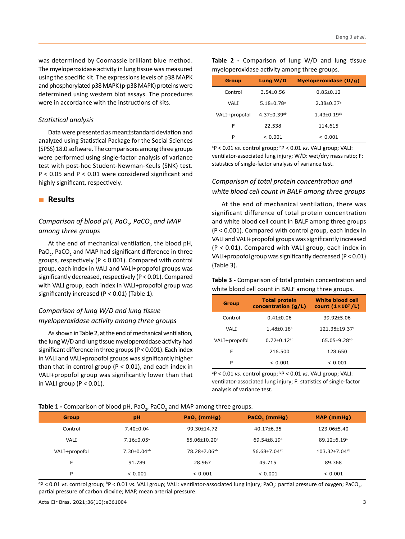was determined by Coomassie brilliant blue method. The myeloperoxidase activity in lung tissue was measured using the specific kit. The expressions levels of p38 MAPK and phosphorylated p38 MAPK (p-p38 MAPK) proteins were determined using western blot assays. The procedures were in accordance with the instructions of kits.

#### *Statistical analysis*

Data were presented as mean±standard deviation and analyzed using Statistical Package for the Social Sciences (SPSS) 18.0 software. The comparisons among three groups were performed using single-factor analysis of variance test with post-hoc Student-Newman-Keuls (SNK) test. P < 0.05 and P < 0.01 were considered significant and highly significant, respectively.

#### **Results**

# $\emph{Comparison of blood pH, PaO}_\gamma$   $\emph{PaCO}_\textit{2}$  and MAP *among three groups*

At the end of mechanical ventilation, the blood pH, PaO<sub>2</sub>, PaCO<sub>2</sub> and MAP had significant difference in three groups, respectively (P < 0.001). Compared with control group, each index in VALI and VALI+propofol groups was significantly decreased, respectively (P < 0.01). Compared with VALI group, each index in VALI+propofol group was significantly increased (P < 0.01) (Table 1).

# *Comparison of lung W/D and lung tissue myeloperoxidase activity among three groups*

As shown in Table 2, at the end of mechanical ventilation, the lung W/D and lung tissue myeloperoxidase activity had significant difference in three groups (P < 0.001). Each index in VALI and VALI+propofol groups was significantly higher than that in control group ( $P < 0.01$ ), and each index in VALI+propofol group was significantly lower than that in VALI group ( $P < 0.01$ ).

|                                              | Table 2 - Comparison of lung W/D and lung tissue |  |  |  |  |  |
|----------------------------------------------|--------------------------------------------------|--|--|--|--|--|
| myeloperoxidase activity among three groups. |                                                  |  |  |  |  |  |

| <b>Group</b>  | Lung W/D                      | Myeloperoxidase (U/g)         |
|---------------|-------------------------------|-------------------------------|
| Control       | $3.54 + 0.56$                 | $0.85 + 0.12$                 |
| VALI          | $5.18 + 0.78$ <sup>a</sup>    | $2.38 + 0.37$ <sup>a</sup>    |
| VALI+propofol | $4.37 \pm 0.39$ <sup>ab</sup> | $1.43 \pm 0.19$ <sup>ab</sup> |
| F             | 22.538                        | 114.615                       |
| P             | < 0.001                       | < 0.001                       |

<sup>a</sup>P < 0.01 *vs*. control group; <sup>b</sup>P < 0.01 *vs*. VALI group; VALI: ventilator-associated lung injury; W/D: wet/dry mass ratio; F: statistics of single-factor analysis of variance test.

# *Comparison of total protein concentration and white blood cell count in BALF among three groups*

At the end of mechanical ventilation, there was significant difference of total protein concentration and white blood cell count in BALF among three groups (P < 0.001). Compared with control group, each index in VALI and VALI+propofol groups was significantly increased (P < 0.01). Compared with VALI group, each index in VALI+propofol group was significantly decreased (P < 0.01) (Table 3).

**Table 3 -** Comparison of total protein concentration and white blood cell count in BALF among three groups.

| <b>Group</b>  | <b>Total protein</b><br>concentration (g/L) | <b>White blood cell</b><br>count $(1 \times 10^7$ /L) |
|---------------|---------------------------------------------|-------------------------------------------------------|
| Control       | $0.41 + 0.06$                               | $39.92 + 5.06$                                        |
| VAI T         | $1.48 + 0.18$ <sup>a</sup>                  | $121.38 + 19.37$ <sup>a</sup>                         |
| VALI+propofol | $0.72 + 0.12$ <sup>ab</sup>                 | $65.05 + 9.28$ <sup>ab</sup>                          |
| F             | 216.500                                     | 128.650                                               |
| P             | < 0.001                                     | < 0.001                                               |

<sup>a</sup>P < 0.01 *vs*. control group; <sup>b</sup>P < 0.01 *vs*. VALI group; VALI: ventilator-associated lung injury; F: statistics of single-factor analysis of variance test.

# **Table 1 -** Comparison of blood pH, PaO<sub>2</sub>, PaCO<sub>2</sub> and MAP among three groups.

| <b>Group</b>  | pH                            | PaO <sub>2</sub> (mmHg)      | PaCO <sub>2</sub> (mmHg)      | <b>MAP</b> (mmHg)               |
|---------------|-------------------------------|------------------------------|-------------------------------|---------------------------------|
| Control       | $7.40 \pm 0.04$               | 99.30+14.72                  | $40.17 \pm 6.35$              | 123.06±5.40                     |
| VALI          | $7.16 \pm 0.05$ <sup>a</sup>  | $65.06 + 10.20$ <sup>a</sup> | $69.54 \pm 8.19$ <sup>a</sup> | $89.12 \pm 6.19$ <sup>a</sup>   |
| VALI+propofol | $7.30 \pm 0.04$ <sup>ab</sup> | 78.28±7.06 <sup>ab</sup>     | 56.68±7.04 <sup>ab</sup>      | $103.32 \pm 7.04$ <sup>ab</sup> |
| F             | 91.789                        | 28.967                       | 49.715                        | 89.368                          |
| P             | < 0.001                       | < 0.001                      | < 0.001                       | < 0.001                         |

<sup>a</sup>P < 0.01 *vs*. control group; <sup>b</sup>P < 0.01 *vs*. VALI group; VALI: ventilator-associated lung injury; PaO<sub>2</sub>: partial pressure of oxygen; PaCO<sub>2</sub>, partial pressure of carbon dioxide; MAP, mean arterial pressure.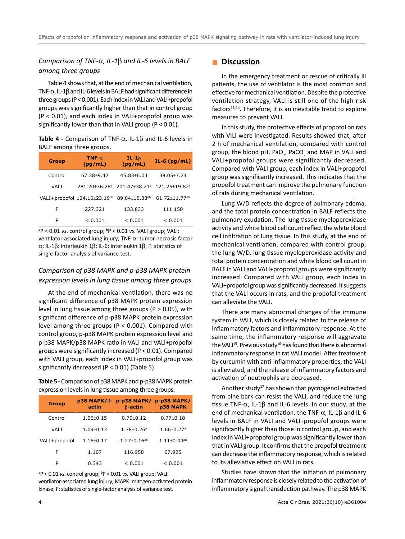# *Comparison of TNF-*α*, IL-1*β *and IL-6 levels in BALF among three groups*

Table 4 shows that, at the end of mechanical ventilation, TNF-α, IL-1β and IL-6 levels in BALF had significant difference in three groups (P < 0.001). Each index in VALI and VALI+propofol groups was significantly higher than that in control group (P < 0.01), and each index in VALI+propofol group was significantly lower than that in VALI group (P < 0.01).

**Table 4 -** Comparison of TNF-α, IL-1β and IL-6 levels in BALF among three groups.

| <b>Group</b> | TNF- $\alpha$<br>(pg/mL)     | $IL - 1\beta$<br>(pg/mL)        | IL-6 $(pg/mL)$                |
|--------------|------------------------------|---------------------------------|-------------------------------|
| Control      | 67.38+9.42                   | $45.83 + 6.04$                  | $39.05 + 7.24$                |
| VALI         | 281.20+36.28ª                | 201.47+38.21 <sup>a</sup>       | 121.25+19.82 <sup>a</sup>     |
|              | VALI+propofol 124.16±23.19ab | $89.84 \pm 15.33$ <sup>ab</sup> | $61.72 + 11.77$ <sup>ab</sup> |
| F            | 227.321                      | 133.833                         | 111.150                       |
| P            | < 0.001                      | < 0.001                         | < 0.001                       |

<sup>a</sup>P < 0.01 *vs*. control group; <sup>b</sup>P < 0.01 *vs*. VALI group; VALI: ventilator-associated lung injury; TNF-α: tumor necrosis factor α; IL-1β: interleukin 1β; IL-6: interleukin 1β; F: statistics of single-factor analysis of variance test.

# *Comparison of p38 MAPK and p-p38 MAPK protein expression levels in lung tissue among three groups*

At the end of mechanical ventilation, there was no significant difference of p38 MAPK protein expression level in lung tissue among three groups ( $P > 0.05$ ), with significant difference of p-p38 MAPK protein expression level among three groups (P < 0.001). Compared with control group, p-p38 MAPK protein expression level and p-p38 MAPK/p38 MAPK ratio in VALI and VALI+propofol groups were significantly increased (P < 0.01). Compared with VALI group, each index in VALI+propofol group was significantly decreased (P < 0.01) (Table 5).

**Table 5 -** Comparison of p38 MAPK and p-p38 MAPK protein expression levels in lung tissue among three groups.

| <b>Group</b>  | <b>p38 MAPK/B-</b><br>actin | $p-p38$ MAPK/<br>$\beta$ -actin | <b>p-p38 MAPK/</b><br><b>p38 MAPK</b> |
|---------------|-----------------------------|---------------------------------|---------------------------------------|
| Control       | $1.06 + 0.15$               | $0.79 + 0.12$                   | $0.77 + 0.18$                         |
| VALI          | $1.09 + 0.13$               | $1.78 + 0.26$ <sup>a</sup>      | $1.66 \pm 0.27$ <sup>a</sup>          |
| VALI+propofol | $1.15 + 0.17$               | $1.27 + 0.16^{ab}$              | $1.11+0.04^{ab}$                      |
| F             | 1.107                       | 116.958                         | 67.925                                |
| P             | 0.343                       | < 0.001                         | < 0.001                               |

<sup>a</sup>P < 0.01 *vs*. control group; <sup>b</sup>P < 0.01 *vs*. VALI group; VALI: ventilator-associated lung injury; MAPK: mitogen-activated protein kinase; F: statistics of single-factor analysis of variance test.

#### **Discussion**

In the emergency treatment or rescue of critically ill patients, the use of ventilator is the most common and effective for mechanical ventilation. Despite the protective ventilation strategy, VALI is still one of the high risk factors<sup>13,14</sup>. Therefore, it is an inevitable trend to explore measures to prevent VALI.

In this study, the protective effects of propofol on rats with VILI were investigated. Results showed that, after 2 h of mechanical ventilation, compared with control group, the blood pH, PaO<sub>2</sub>, PaCO<sub>2</sub> and MAP in VALI and VALI+propofol groups were significantly decreased. Compared with VALI group, each index in VALI+propofol group was significantly increased. This indicates that the propofol treatment can improve the pulmonary function of rats during mechanical ventilation.

Lung W/D reflects the degree of pulmonary edema, and the total protein concentration in BALF reflects the pulmonary exudation. The lung tissue myeloperoxidase activity and white blood cell count reflect the white blood cell infiltration of lung tissue. In this study, at the end of mechanical ventilation, compared with control group, the lung W/D, lung tissue myeloperoxidase activity and total protein concentration and white blood cell count in BALF in VALI and VALI+propofol groups were significantly increased. Compared with VALI group, each index in VALI+propofol group was significantly decreased. It suggests that the VALI occurs in rats, and the propofol treatment can alleviate the VALI.

There are many abnormal changes of the immune system in VALI, which is closely related to the release of inflammatory factors and inflammatory response. At the same time, the inflammatory response will aggravate the VALI<sup>15</sup>. Previous study<sup>16</sup> has found that there is abnormal inflammatory response in rat VALI model. After treatment by curcumin with anti-inflammatory properties, the VALI is alleviated, and the release of inflammatory factors and activation of neutrophils are decreased.

Another study<sup>17</sup> has shown that pycnogenol extracted from pine bark can resist the VALI, and reduce the lung tissue TNF- $\alpha$ , IL-1 $\beta$  and IL-6 levels. In our study, at the end of mechanical ventilation, the TNF-α, IL-1β and IL-6 levels in BALF in VALI and VALI+propofol groups were significantly higher than those in control group, and each index in VALI+propofol group was significantly lower than that in VALI group. It confirms that the propofol treatment can decrease the inflammatory response, which is related to its alleviative effect on VALI in rats.

Studies have shown that the initiation of pulmonary inflammatory response is closely related to the activation of inflammatory signal transduction pathway. The p38 MAPK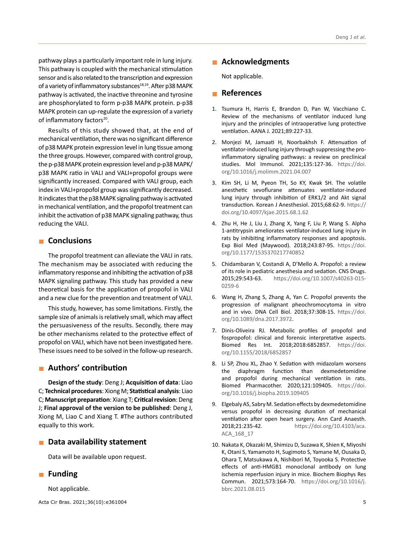pathway plays a particularly important role in lung injury. This pathway is coupled with the mechanical stimulation sensor and is also related to the transcription and expression of a variety of inflammatory substances<sup>18,19</sup>. After p38 MAPK pathway is activated, the inactive threonine and tyrosine are phosphorylated to form p-p38 MAPK protein. p-p38 MAPK protein can up-regulate the expression of a variety of inflammatory factors<sup>20</sup>.

Results of this study showed that, at the end of mechanical ventilation, there was no significant difference of p38 MAPK protein expression level in lung tissue among the three groups. However, compared with control group, the p-p38 MAPK protein expression level and p-p38 MAPK/ p38 MAPK ratio in VALI and VALI+propofol groups were significantly increased. Compared with VALI group, each index in VALI+propofol group was significantly decreased. It indicates that the p38 MAPK signaling pathway is activated in mechanical ventilation, and the propofol treatment can inhibit the activation of p38 MAPK signaling pathway, thus reducing the VALI.

# **Conclusions**

The propofol treatment can alleviate the VALI in rats. The mechanism may be associated with reducing the inflammatory response and inhibiting the activation of p38 MAPK signaling pathway. This study has provided a new theoretical basis for the application of propofol in VALI and a new clue for the prevention and treatment of VALI.

This study, however, has some limitations. Firstly, the sample size of animals is relatively small, which may affect the persuasiveness of the results. Secondly, there may be other mechanisms related to the protective effect of propofol on VALI, which have not been investigated here. These issues need to be solved in the follow-up research.

# **Authors' contribution**

**Design of the study**: Deng J; **Acquisition of data**: Liao C; **Technical procedures**: Xiong M; **Statistical analysis**: Liao C; **Manuscript preparation**: Xiang T; **Critical revision**: Deng J; **Final approval of the version to be published**: Deng J, Xiong M, Liao C and Xiang T. #The authors contributed equally to this work.

## **n** Data availability statement

Data will be available upon request.

## **Funding**

Not applicable.

## **Acknowledgments**

Not applicable.

## **References**

- 1. Tsumura H, Harris E, Brandon D, Pan W, Vacchiano C. Review of the mechanisms of ventilator induced lung injury and the principles of intraoperative lung protective ventilation. AANA J. 2021;89:227-33.
- 2. Monjezi M, Jamaati H, Noorbakhsh F. Attenuation of ventilator-induced lung injury through suppressing the proinflammatory signaling pathways: a review on preclinical studies. Mol Immunol. 2021;135:127-36. [https://doi.](https://doi.org/10.1016/j.molimm.2021.04.007) [org/10.1016/j.molimm.2021.04.007](https://doi.org/10.1016/j.molimm.2021.04.007)
- 3. Kim SH, Li M, Pyeon TH, So KY, Kwak SH. The volatile anesthetic sevoflurane attenuates ventilator-induced lung injury through inhibition of ERK1/2 and Akt signal transduction. Korean J Anesthesiol. 2015;68:62-9. [https://](https://doi.org/10.4097/kjae.2015.68.1.62) [doi.org/10.4097/kjae.2015.68.1.62](https://doi.org/10.4097/kjae.2015.68.1.62)
- 4. Zhu H, He J, Liu J, Zhang X, Yang F, Liu P, Wang S. Alpha 1-antitrypsin ameliorates ventilator-induced lung injury in rats by inhibiting inflammatory responses and apoptosis. Exp Biol Med (Maywood). 2018;243:87-95. [https://doi.](https://doi.org/10.1177/1535370217740852) [org/10.1177/1535370217740852](https://doi.org/10.1177/1535370217740852)
- 5. Chidambaran V, Costandi A, D'Mello A. Propofol: a review of its role in pediatric anesthesia and sedation. CNS Drugs. 2015;29:543-63. [https://doi.org/10.1007/s40263-015-](https://doi.org/10.1007/s40263-015-0259-6) [0259-6](https://doi.org/10.1007/s40263-015-0259-6)
- 6. Wang H, Zhang S, Zhang A, Yan C. Propofol prevents the progression of malignant pheochromocytoma in vitro and in vivo. DNA Cell Biol. 2018;37:308-15. [https://doi.](https://doi.org/10.1089/dna.2017.3972) [org/10.1089/dna.2017.3972](https://doi.org/10.1089/dna.2017.3972).
- 7. Dinis-Oliveira RJ. Metabolic profiles of propofol and fospropofol: clinical and forensic interpretative aspects. Biomed Res Int. 2018;2018:6852857. [https://doi.](https://doi.org/10.1155/2018/6852857) [org/10.1155/2018/6852857](https://doi.org/10.1155/2018/6852857)
- 8. Li SP, Zhou XL, Zhao Y. Sedation with midazolam worsens the diaphragm function than dexmedetomidine and propofol during mechanical ventilation in rats. Biomed Pharmacother. 2020;121:109405. [https://doi.](https://doi.org/10.1016/j.biopha.2019.109405) [org/10.1016/j.biopha.2019.109405](https://doi.org/10.1016/j.biopha.2019.109405)
- 9. Elgebaly AS, Sabry M. Sedation effects by dexmedetomidine versus propofol in decreasing duration of mechanical ventilation after open heart surgery. Ann Card Anaesth. 2018;21:235-42. [https://doi.org/10.4103/aca.](https://doi.org/10.4103/aca.ACA_168_17) [ACA\\_168\\_17](https://doi.org/10.4103/aca.ACA_168_17)
- 10. Nakata K, Okazaki M, Shimizu D, Suzawa K, Shien K, Miyoshi K, Otani S, Yamamoto H, Sugimoto S, Yamane M, Ousaka D, Ohara T, Matsukawa A, Nishibori M, Toyooka S. Protective effects of anti-HMGB1 monoclonal antibody on lung ischemia reperfusion injury in mice. Biochem Biophys Res Commun. 2021;573:164-70. [https://doi.org/10.1016/j.](https://doi.org/10.1016/j.bbrc.2021.08.015) [bbrc.2021.08.015](https://doi.org/10.1016/j.bbrc.2021.08.015)